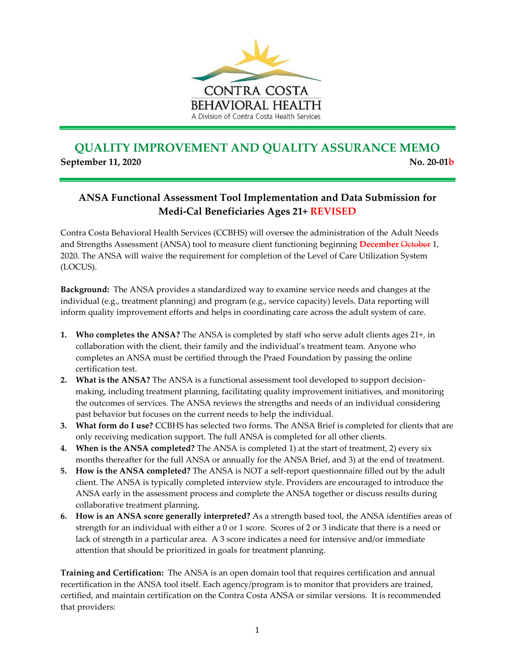

## **QUALITY IMPROVEMENT AND QUALITY ASSURANCE MEMO September 11, 2020** No. 20-01b

## **ANSA Functional Assessment Tool Implementation and Data Submission for Medi-Cal Beneficiaries Ages 21+ REVISED**

Contra Costa Behavioral Health Services (CCBHS) will oversee the administration of the Adult Needs and Strengths Assessment (ANSA) tool to measure client functioning beginning **December** October 1, 2020. The ANSA will waive the requirement for completion of the Level of Care Utilization System (LOCUS).

**Background:** The ANSA provides a standardized way to examine service needs and changes at the individual (e.g., treatment planning) and program (e.g., service capacity) levels. Data reporting will inform quality improvement efforts and helps in coordinating care across the adult system of care.

- **1. Who completes the ANSA?** The ANSA is completed by staff who serve adult clients ages 21+, in collaboration with the client, their family and the individual's treatment team. Anyone who completes an ANSA must be certified through the Praed Foundation by passing the online certification test.
- **2. What is the ANSA?** The ANSA is a functional assessment tool developed to support decisionmaking, including treatment planning, facilitating quality improvement initiatives, and monitoring the outcomes of services. The ANSA reviews the strengths and needs of an individual considering past behavior but focuses on the current needs to help the individual.
- **3. What form do I use?** CCBHS has selected two forms. The ANSA Brief is completed for clients that are only receiving medication support. The full ANSA is completed for all other clients.
- **4. When is the ANSA completed?** The ANSA is completed 1) at the start of treatment, 2) every six months thereafter for the full ANSA or annually for the ANSA Brief, and 3) at the end of treatment.
- **5. How is the ANSA completed?** The ANSA is NOT a self-report questionnaire filled out by the adult client. The ANSA is typically completed interview style. Providers are encouraged to introduce the ANSA early in the assessment process and complete the ANSA together or discuss results during collaborative treatment planning.
- **6. How is an ANSA score generally interpreted?** As a strength based tool, the ANSA identifies areas of strength for an individual with either a 0 or 1 score. Scores of 2 or 3 indicate that there is a need or lack of strength in a particular area. A 3 score indicates a need for intensive and/or immediate attention that should be prioritized in goals for treatment planning.

**Training and Certification:** The ANSA is an open domain tool that requires certification and annual recertification in the ANSA tool itself. Each agency/program is to monitor that providers are trained, certified, and maintain certification on the Contra Costa ANSA or similar versions. It is recommended that providers: